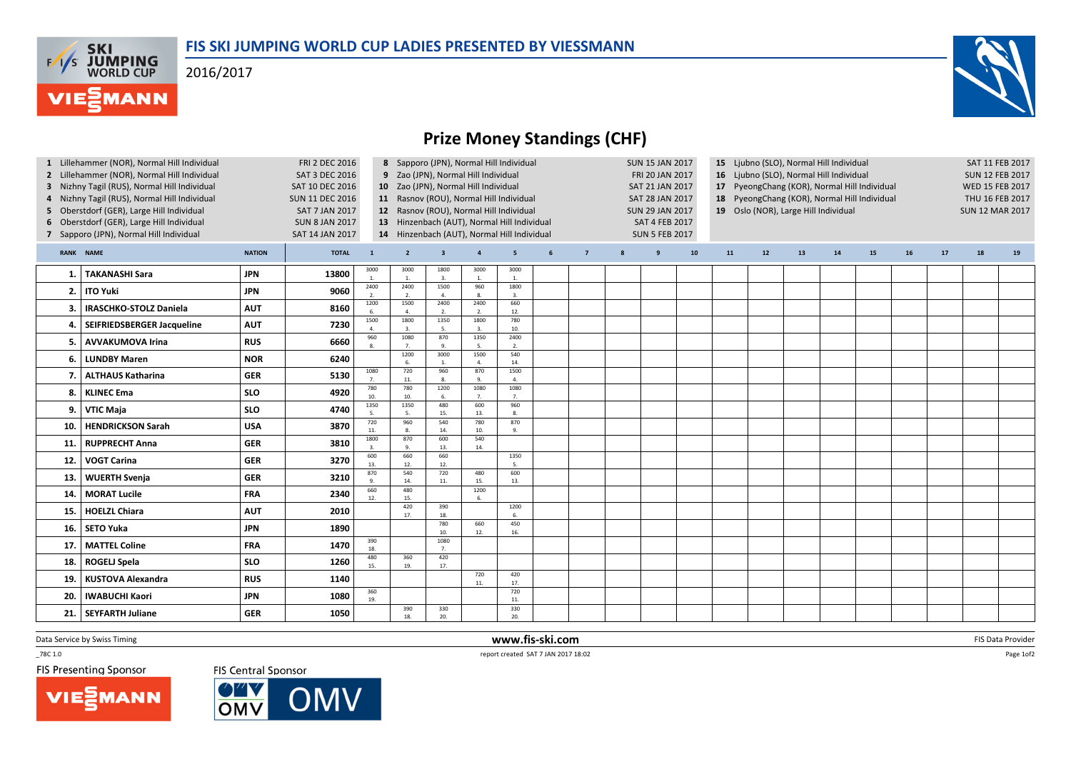## FIS SKI JUMPING WORLD CUP LADIES PRESENTED BY VIESSMANN

2016/2017

**F/T/S SKI<br>WORLD CUP** 

**MANN** 



## Prize Money Standings (CHF)

| <b>FRI 2 DEC 2016</b><br>1 Lillehammer (NOR), Normal Hill Individual<br>2 Lillehammer (NOR), Normal Hill Individual<br><b>SAT 3 DEC 2016</b><br>3 Nizhny Tagil (RUS), Normal Hill Individual<br>SAT 10 DEC 2016<br>4 Nizhny Tagil (RUS), Normal Hill Individual<br><b>SUN 11 DEC 2016</b><br>Oberstdorf (GER), Large Hill Individual<br><b>SAT 7 JAN 2017</b><br>5<br>6 Oberstdorf (GER), Large Hill Individual<br><b>SUN 8 JAN 2017</b><br>7 Sapporo (JPN), Normal Hill Individual<br>SAT 14 JAN 2017 |                               |               |              |                          | 8 Sapporo (JPN), Normal Hill Individual<br>9 Zao (JPN), Normal Hill Individual<br>10 Zao (JPN), Normal Hill Individual<br>11 Rasnov (ROU), Normal Hill Individual<br>12 Rasnov (ROU), Normal Hill Individual<br>13 Hinzenbach (AUT), Normal Hill Individual<br>14 Hinzenbach (AUT), Normal Hill Individual |                                 |                        |                        |   | <b>SUN 15 JAN 2017</b><br>FRI 20 JAN 2017<br>SAT 21 JAN 2017<br><b>SAT 28 JAN 2017</b><br><b>SUN 29 JAN 2017</b><br><b>SAT 4 FEB 2017</b><br><b>SUN 5 FEB 2017</b> |   |   |    | 15 Ljubno (SLO), Normal Hill Individual<br>16 Ljubno (SLO), Normal Hill Individual<br>17 PyeongChang (KOR), Normal Hill Individual<br>18 PyeongChang (KOR), Normal Hill Individual<br>19 Oslo (NOR), Large Hill Individual |    |    |    |    |    |    | SAT 11 FEB 2017<br><b>SUN 12 FEB 2017</b><br>WED 15 FEB 2017<br>THU 16 FEB 2017<br><b>SUN 12 MAR 2017</b> |    |  |
|--------------------------------------------------------------------------------------------------------------------------------------------------------------------------------------------------------------------------------------------------------------------------------------------------------------------------------------------------------------------------------------------------------------------------------------------------------------------------------------------------------|-------------------------------|---------------|--------------|--------------------------|------------------------------------------------------------------------------------------------------------------------------------------------------------------------------------------------------------------------------------------------------------------------------------------------------------|---------------------------------|------------------------|------------------------|---|--------------------------------------------------------------------------------------------------------------------------------------------------------------------|---|---|----|----------------------------------------------------------------------------------------------------------------------------------------------------------------------------------------------------------------------------|----|----|----|----|----|----|-----------------------------------------------------------------------------------------------------------|----|--|
|                                                                                                                                                                                                                                                                                                                                                                                                                                                                                                        | RANK NAME                     | <b>NATION</b> | <b>TOTAL</b> | $\mathbf{1}$<br>3000     | $\overline{2}$<br>3000                                                                                                                                                                                                                                                                                     | $\overline{\mathbf{3}}$<br>1800 | $\overline{a}$<br>3000 | 5<br>3000              | 6 | $\overline{7}$                                                                                                                                                     | 8 | 9 | 10 | 11                                                                                                                                                                                                                         | 12 | 13 | 14 | 15 | 16 | 17 | 18                                                                                                        | 19 |  |
| 1.                                                                                                                                                                                                                                                                                                                                                                                                                                                                                                     | <b>TAKANASHI Sara</b>         | <b>JPN</b>    | 13800        | 2400                     | 2400                                                                                                                                                                                                                                                                                                       | 3.<br>1500                      | $\overline{1}$<br>960  | 1800                   |   |                                                                                                                                                                    |   |   |    |                                                                                                                                                                                                                            |    |    |    |    |    |    |                                                                                                           |    |  |
| 2.                                                                                                                                                                                                                                                                                                                                                                                                                                                                                                     | <b>ITO Yuki</b>               | <b>JPN</b>    | 9060         | 2.                       | 2.                                                                                                                                                                                                                                                                                                         | 4.                              | 8.                     | 3.                     |   |                                                                                                                                                                    |   |   |    |                                                                                                                                                                                                                            |    |    |    |    |    |    |                                                                                                           |    |  |
| З.                                                                                                                                                                                                                                                                                                                                                                                                                                                                                                     | <b>IRASCHKO-STOLZ Daniela</b> | <b>AUT</b>    | 8160         | 1200<br>6.               | 1500<br>4.                                                                                                                                                                                                                                                                                                 | 2400<br>2.                      | 2400<br>2.             | 660<br>12.             |   |                                                                                                                                                                    |   |   |    |                                                                                                                                                                                                                            |    |    |    |    |    |    |                                                                                                           |    |  |
| 4.                                                                                                                                                                                                                                                                                                                                                                                                                                                                                                     | SEIFRIEDSBERGER Jacqueline    | <b>AUT</b>    | 7230         | 1500                     | 1800                                                                                                                                                                                                                                                                                                       | 1350                            | 1800<br>$\overline{3}$ | 780<br>10.             |   |                                                                                                                                                                    |   |   |    |                                                                                                                                                                                                                            |    |    |    |    |    |    |                                                                                                           |    |  |
| 5.                                                                                                                                                                                                                                                                                                                                                                                                                                                                                                     | <b>AVVAKUMOVA Irina</b>       | <b>RUS</b>    | 6660         | 960<br>8.                | 1080<br>7.                                                                                                                                                                                                                                                                                                 | 870<br>9.                       | 1350<br>5.             | 2400<br>2.             |   |                                                                                                                                                                    |   |   |    |                                                                                                                                                                                                                            |    |    |    |    |    |    |                                                                                                           |    |  |
| 6.                                                                                                                                                                                                                                                                                                                                                                                                                                                                                                     | <b>LUNDBY Maren</b>           | <b>NOR</b>    | 6240         |                          | 1200<br>6.                                                                                                                                                                                                                                                                                                 | 3000<br>$\overline{1}$          | 1500<br>$\mathbf{A}$   | 540<br>14.             |   |                                                                                                                                                                    |   |   |    |                                                                                                                                                                                                                            |    |    |    |    |    |    |                                                                                                           |    |  |
|                                                                                                                                                                                                                                                                                                                                                                                                                                                                                                        | <b>ALTHAUS Katharina</b>      | <b>GER</b>    | 5130         | 1080<br>7.               | 720<br>11.                                                                                                                                                                                                                                                                                                 | 960<br>8.                       | 870<br>9.              | 1500<br>4.             |   |                                                                                                                                                                    |   |   |    |                                                                                                                                                                                                                            |    |    |    |    |    |    |                                                                                                           |    |  |
| -8.                                                                                                                                                                                                                                                                                                                                                                                                                                                                                                    | <b>KLINEC Ema</b>             | <b>SLO</b>    | 4920         | 780<br>10.               | 780<br>10.                                                                                                                                                                                                                                                                                                 | 1200<br>6.                      | 1080<br>7 <sub>1</sub> | 1080<br>7 <sub>1</sub> |   |                                                                                                                                                                    |   |   |    |                                                                                                                                                                                                                            |    |    |    |    |    |    |                                                                                                           |    |  |
| 9.                                                                                                                                                                                                                                                                                                                                                                                                                                                                                                     | <b>VTIC Maja</b>              | <b>SLO</b>    | 4740         | 1350<br>5.               | 1350<br>5.                                                                                                                                                                                                                                                                                                 | 480<br>15.                      | 600<br>13.             | 960<br>8.              |   |                                                                                                                                                                    |   |   |    |                                                                                                                                                                                                                            |    |    |    |    |    |    |                                                                                                           |    |  |
| 10.                                                                                                                                                                                                                                                                                                                                                                                                                                                                                                    | <b>HENDRICKSON Sarah</b>      | <b>USA</b>    | 3870         | 720<br>11.               | 960                                                                                                                                                                                                                                                                                                        | 540<br>14.                      | 780<br>10.             | 870<br>9.              |   |                                                                                                                                                                    |   |   |    |                                                                                                                                                                                                                            |    |    |    |    |    |    |                                                                                                           |    |  |
| 11,                                                                                                                                                                                                                                                                                                                                                                                                                                                                                                    | <b>RUPPRECHT Anna</b>         | <b>GER</b>    | 3810         | 1800<br>$\overline{3}$ . | 870<br>9.                                                                                                                                                                                                                                                                                                  | 600<br>13.                      | 540<br>14.             |                        |   |                                                                                                                                                                    |   |   |    |                                                                                                                                                                                                                            |    |    |    |    |    |    |                                                                                                           |    |  |
| 12.                                                                                                                                                                                                                                                                                                                                                                                                                                                                                                    | <b>VOGT Carina</b>            | <b>GER</b>    | 3270         | 600<br>13.               | 660<br>12.                                                                                                                                                                                                                                                                                                 | 660<br>12.                      |                        | 1350<br>5.             |   |                                                                                                                                                                    |   |   |    |                                                                                                                                                                                                                            |    |    |    |    |    |    |                                                                                                           |    |  |
| 13.                                                                                                                                                                                                                                                                                                                                                                                                                                                                                                    | <b>WUERTH Svenja</b>          | <b>GER</b>    | 3210         | 870<br>$\mathbf{q}$      | 540<br>14.                                                                                                                                                                                                                                                                                                 | 720<br>11.                      | 480<br>15.             | 600<br>13.             |   |                                                                                                                                                                    |   |   |    |                                                                                                                                                                                                                            |    |    |    |    |    |    |                                                                                                           |    |  |
| 14.                                                                                                                                                                                                                                                                                                                                                                                                                                                                                                    | <b>MORAT Lucile</b>           | <b>FRA</b>    | 2340         | 660<br>12.               | 480<br>15.                                                                                                                                                                                                                                                                                                 |                                 | 1200<br>6.             |                        |   |                                                                                                                                                                    |   |   |    |                                                                                                                                                                                                                            |    |    |    |    |    |    |                                                                                                           |    |  |
| 15.                                                                                                                                                                                                                                                                                                                                                                                                                                                                                                    | <b>HOELZL Chiara</b>          | <b>AUT</b>    | 2010         |                          | 420<br>17.                                                                                                                                                                                                                                                                                                 | 390<br>18.                      |                        | 1200<br>6.             |   |                                                                                                                                                                    |   |   |    |                                                                                                                                                                                                                            |    |    |    |    |    |    |                                                                                                           |    |  |
| 16.                                                                                                                                                                                                                                                                                                                                                                                                                                                                                                    | <b>SETO Yuka</b>              | <b>JPN</b>    | 1890         |                          |                                                                                                                                                                                                                                                                                                            | 780<br>10.                      | 660<br>12.             | 450<br>16.             |   |                                                                                                                                                                    |   |   |    |                                                                                                                                                                                                                            |    |    |    |    |    |    |                                                                                                           |    |  |
| 17.                                                                                                                                                                                                                                                                                                                                                                                                                                                                                                    | <b>MATTEL Coline</b>          | <b>FRA</b>    | 1470         | 390<br>18.               |                                                                                                                                                                                                                                                                                                            | 1080<br>$\overline{7}$          |                        |                        |   |                                                                                                                                                                    |   |   |    |                                                                                                                                                                                                                            |    |    |    |    |    |    |                                                                                                           |    |  |
| 18.                                                                                                                                                                                                                                                                                                                                                                                                                                                                                                    | ROGELJ Spela                  | <b>SLO</b>    | 1260         | 480<br>15.               | 360<br>19.                                                                                                                                                                                                                                                                                                 | 420<br>17.                      |                        |                        |   |                                                                                                                                                                    |   |   |    |                                                                                                                                                                                                                            |    |    |    |    |    |    |                                                                                                           |    |  |
| 19                                                                                                                                                                                                                                                                                                                                                                                                                                                                                                     | <b>KUSTOVA Alexandra</b>      | <b>RUS</b>    | 1140         |                          |                                                                                                                                                                                                                                                                                                            |                                 | 720<br>11.             | 420<br>17.             |   |                                                                                                                                                                    |   |   |    |                                                                                                                                                                                                                            |    |    |    |    |    |    |                                                                                                           |    |  |
| 20.                                                                                                                                                                                                                                                                                                                                                                                                                                                                                                    | <b>IWABUCHI Kaori</b>         | <b>JPN</b>    | 1080         | 360<br>19.               |                                                                                                                                                                                                                                                                                                            |                                 |                        | 720<br>11.             |   |                                                                                                                                                                    |   |   |    |                                                                                                                                                                                                                            |    |    |    |    |    |    |                                                                                                           |    |  |
| 21.                                                                                                                                                                                                                                                                                                                                                                                                                                                                                                    | <b>SEYFARTH Juliane</b>       | <b>GER</b>    | 1050         |                          | 390<br>18.                                                                                                                                                                                                                                                                                                 | 330<br>20.                      |                        | 330<br>20.             |   |                                                                                                                                                                    |   |   |    |                                                                                                                                                                                                                            |    |    |    |    |    |    |                                                                                                           |    |  |

Data Service by Swiss Timing

 $-78C 1.0$ 

**FIS Presenting Sponsor** 

**VIESMANN** 

FIS Central Sponsor



 www.fis-ski.comreport created SAT 7 JAN 2017 18:02

m FIS Data Provider<br>Table 2002

Page 1of2